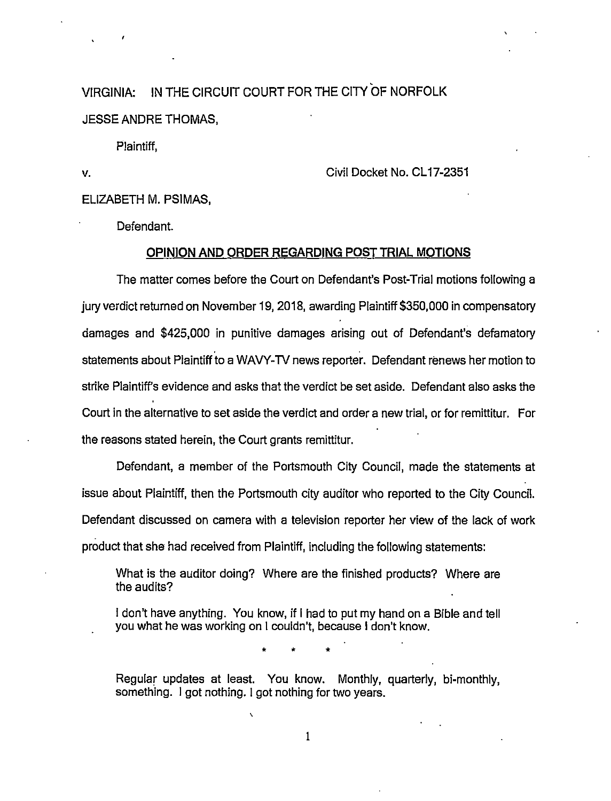VIRGINIA: IN THE CIRCUIT COURT FOR THE CITY OF NORFOLK JESSE ANDRE THOMAS,

Plaintiff,

v. Civil Docket No. CL 17-2351

ELIZABETH M. PSIMAS,

Defendant.

### **OPINION AND ORDER REGARDING POST TRIAL MOTIONS**

The matter comes before the Court on Defendant's Post-Trial motions following a jury verdict returned on November 19, 2018, awarding Plaintiff \$350,000 in compensatory damages and \$425,000 in punitive damages arising out of Defendant's defamatory statements about Plaintiff to a WAVY-TV news reporter. Defendant renews her motion to strike Plaintiff's evidence and asks that the verdict be set aside. Defendant also asks the Court in the alternative to set aside the verdict and order a new trial, or for remittitur. For the reasons stated herein, the Court grants remittitur.

Defendant, a member of the Portsmouth City Council, made the statements at issue about Plaintiff, then the Portsmouth city auditor who reported to the City Council. Defendant discussed on camera with a television reporter her view of the lack of work product that she had received from Plaintiff, including the following statements:

What is the auditor doing? Where are the finished products? Where are the audits?

I don't have anything. You know, if I had to put my hand on a Bible and tell you what he was working on I couldn't, because I don't know .

• • •

Regular updates at least. You know. Monthly, quarterly, bi-monthly, something. I got nothing. I got nothing for two years.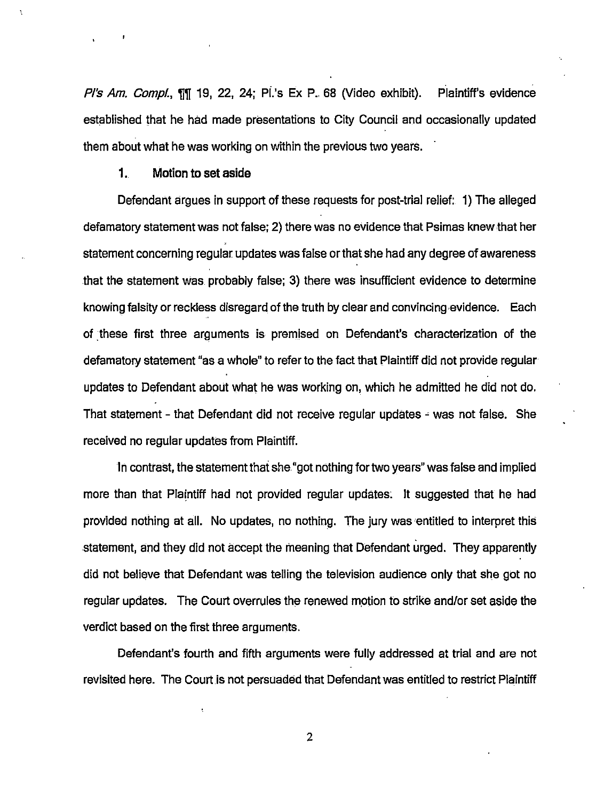P's Am. Compl., TIM 19, 22, 24; PI's Ex P. 68 (Video exhibit). Plaintiff's evidence established that he had made presentations to City Council and occasionally updated them about what he was working on within the previous two years.

## 1. Motion to set aside

Defendant argues in support of these requests for post-trial relief: 1) The alleged defamatory statement was not false; 2) there was no evidence that Psimas knew that her statement concerning regular updates was false or that she had any degree of awareness that the statement was probably false; 3) there was insufficient evidence to determine knowing falsity or reckless disregard of the truth by clear and convincing evidence. Each of these first three arguments is premised on Defendant's characterization of the defamatory statement "as a whole" to refer to the fact that Plaintiff did not provide regular updates to Defendant about what he was working on, which he admitted he did not do. That statement - that Defendant did not receive regular updates  $\div$  was not false. She received no regular updates from Plaintiff.

In contrast, the statement that she "got nothing for two years" was false and implied more than that Plaintiff had not provided regular updates. It suggested that he had provided nothing at all. No updates, no nothing. The jury was entitled to interpret this statement, and they did not accept the meaning that Defendant urged. They apparently did not believe that Defendant was telling the television audience only that she got no regular updates. The Court overrules the renewed motion to strike and/or set aside the verdict based on the first three arguments.

Defendant's fourth and fifth arguments were fully addressed at trial and are not revisited here. The Court is not persuaded that Defendant was entitled to restrict Plaintiff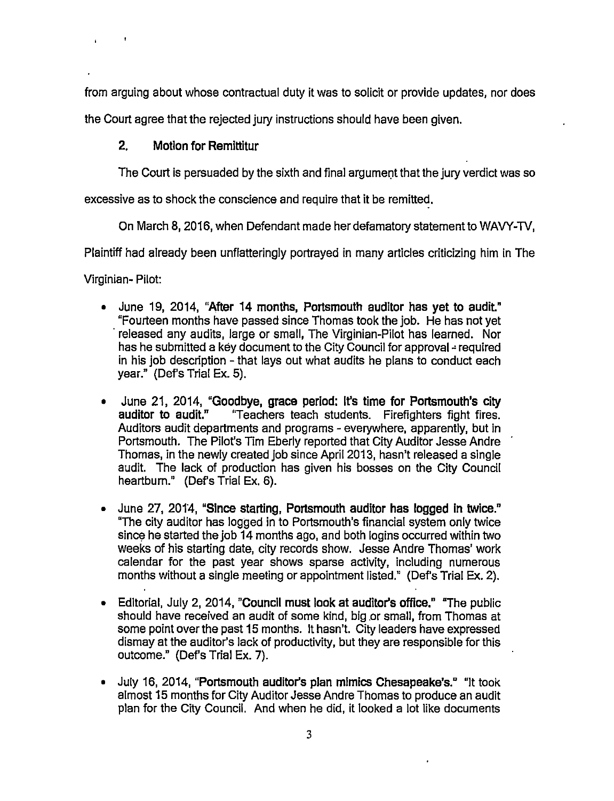from arguing about whose contractual duty it was to solicit or provide updates, nor does

the Court agree that the rejected jury instructions should have been given.

# **2. Motion for Remittitur**

The Court is persuaded by the sixth and final argument that the jury verdict was so

excessive as to shock the conscience and require that it be remitted.

On March 8, 2016, when Defendant made her defamatory statement to WAVY-1V,

Plaintiff had already been unflatteringly portrayed in many articles criticizing him in The

Virginian- Pilot:

- June 19, 2014, **"After 14 months, Portsmouth auditor has yet to audit"**  "Fourteen months have passed since Thomas took the job. He has not yet released any audits, large or small, The Virginian-Pilot has learned. Nor has he submitted a key document to the City Council for approval - required in his job description - that lays out what audits he plans to conduct each year." (Def's Trial Ex. 5).
- June 21, 2014, **"Goodbye, grace period: It's time for Portsmouth's city auditor to audit."** "Teachers teach students. Firefighters fight fires. Auditors audit departments and programs- everywhere, apparently, but in Portsmouth. The Pilot's Tim Eberly reported that City Auditor Jesse Andre Thomas, in the newly created job since April 2013, hasn't released a single audit. The lack of production has given his bosses on the City Council heartburn." (Def's Trial Ex. 6).
- June 27, 2014, **"Since starting, Portsmouth auditor has logged in twice."**  "The city auditor has logged in to Portsmouth's financial system only twice since he started the job 14 months ago, and both logins occurred within two weeks of his starting date, city records show. Jesse Andre Thomas' work calendar for the past year shows sparse activity, including numerous months without a single meeting or appointment listed." (Def's Trial Ex. 2).
- Editorial, July 2, 2014, **"Council must look at auditor's office."** "The public should have received an audit of some kind, big or small, from Thomas at some point over the past 15 months. It hasn't. City leaders have expressed dismay at the auditor's lack of productivity, but they are responsible for this outcome." (Def's Trial Ex. 7).
- July 16, 2014, **"Portsmouth auditor's plan mimics Chesapeake's."** "It took almost 15 months for City Auditor Jesse Andre Thomas to produce an audit plan for the City Council. And when he did, it looked a lot like documents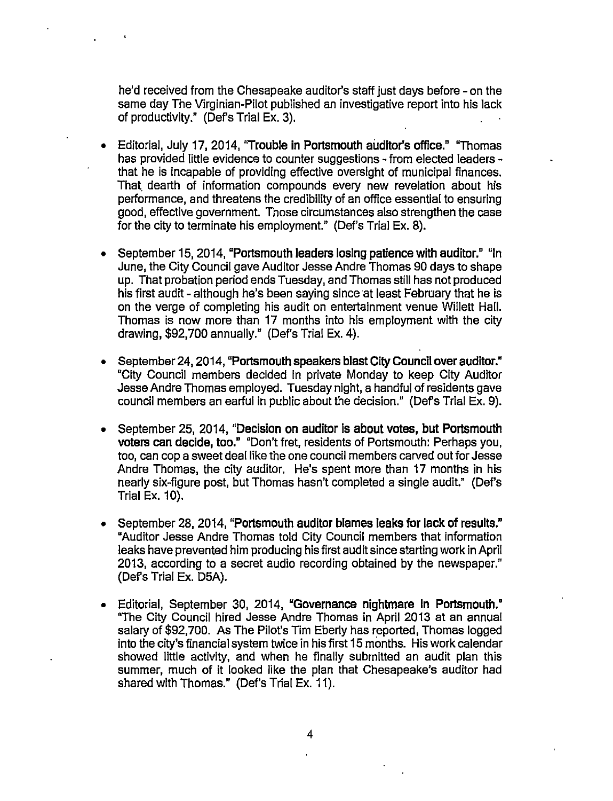he'd received from the Chesapeake auditor's staff just days before -on the same day The Virginian-Pilot published an investigative report into his lack of productivity." (Def's Trial Ex. 3).

- Editorial, July 17, 2014, "Trouble in Portsmouth auditor's office." "Thomas has provided little evidence to counter suggestions - from elected leaders that he is incapable of providing effective oversight of municipal finances. That. dearth of information compounds every new revelation about his performance, and threatens the credibility of an office essential to ensuring good, effective government. Those circumstances also strengthen the case for the city to terminate his employment." (Def's Trial Ex. 8).
- September 15,2014, "Portsmouth leaders losing patience with auditor." "In June, the City Council gave Auditor Jesse Andre Thomas 90 days to shape up. That probation period ends Tuesday, and Thomas still has not produced his first audit - although he's been saying since at least February that he is on the verge of completing his audit on entertainment venue Willett Hall. Thomas is now more than 17 months into his employment with the city drawing, \$92,700 annually." (Def's Trial Ex. 4).
- September 24, 2014, "Portsmouth speakers blast City Council over auditor." "City Council members decided in private Monday to keep City Auditor Jesse Andre Thomas employed. Tuesday night, a handful of residents gave council members an earful in public about the decision." (Def's Trial Ex. 9).
- September 25, 2014, "Decision on auditor is about votes, but Portsmouth voters can decide, too." "Don't fret, residents of Portsmouth: Perhaps you, too, can cop a sweet deal like the one council members carved out for Jesse Andre Thomas, the city auditor. He's spent more than 17 months in his nearly six-figure post, but Thomas hasn't completed a single audit." (Def's Trial Ex. 10).
- September 28, 2014, "Portsmouth auditor blames leaks for lack of results." "Auditor Jesse Andre Thomas told City Council members that information leaks have prevented him producing his first audit since starting work in April 2013, according to a secret audio recording obtained by the newspaper." (Def's Trial Ex. D5A).
- Editorial, September 30, 2014, "Governance nightmare in Portsmouth." "The City Council hired Jesse Andre Thomas in April 2013 at an annual salary of \$92,700. As The Pilot's Tim Eberly has reported, Thomas logged into the city's financial system twice in his first 15 months. His work calendar showed little activity, and when he finally submitted an audit plan this summer, much of it looked like the plan that Chesapeake's auditor had shared with Thomas." (Def's Trial Ex. 11).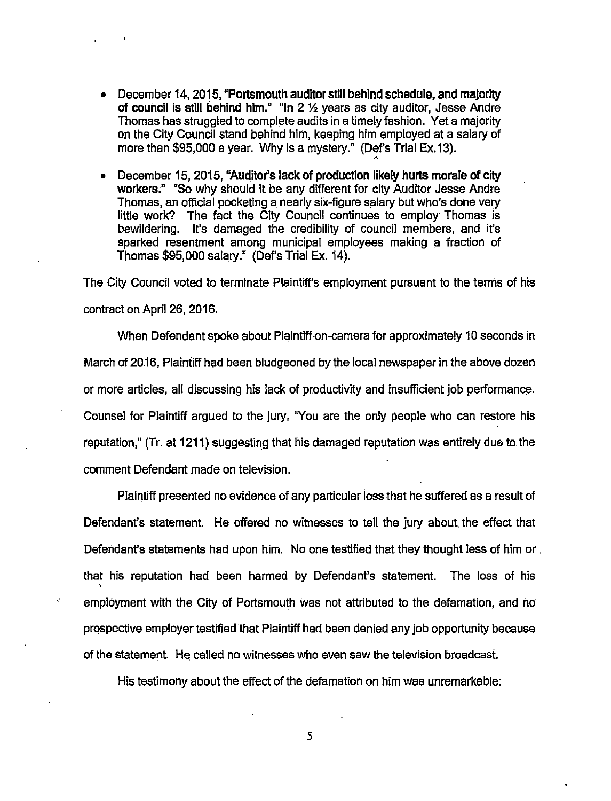• December 14, 2015, "Portsmouth auditor still behind schedule, and majority of council is still behind him." "In 2 % years as city auditor, Jesse Andre Thomas has struggled to complete audits in a timely fashion. Yet a majority on the City Council stand behind him, keeping him employed at a salary of more than \$95,000 a year. Why is a mystery." (Def's Trial Ex.13).

'

• December 15, 2015, "Auditor's lack of production likely hurts morale of city workers." "So why should it be any different for city Auditor Jesse Andre Thomas, an official pocketing a nearly six-figure salary but who's done very little work? The fact the City Council continues to employ Thomas is bewildering. It's damaged the credibility of council members, and it's sparked resentment among municipal employees making a fraction of Thomas \$95,000 salary." (Def's Trial Ex. 14).

The City Council voted to terminate Plaintiff's employment pursuant to the terms of his contract on April 26, 2016.

When Defendant spoke about Plaintiff on-camera for approximately 10 seconds in March of 2016, Plaintiff had been bludgeoned by the local newspaper in the above dozen or more articles, all discussing his lack of productivity and insufficient job performance. Counsel for Plaintiff argued to the jury, "You are the only people who can restore his reputation," (Tr. at 1211) suggesting that his damaged reputation was entirely due to the comment Defendant made on television.

Plaintiff presented no evidence of any particular loss that he suffered as a result of Defendant's statement. He offered no witnesses to tell the jury about. the effect that Defendant's statements had upon him. No one testified that they thought less of him or . that his reputation had been harmed by Defendant's statement. The loss of his employment with the City of Portsmouth was not attributed to the defamation, and no prospective employer testified that Plaintiff had been denied any job opportunity because of the statement. He called no witnesses who even saw the television broadcast.

¢

His testimony about the effect of the defamation on him was unremarkable: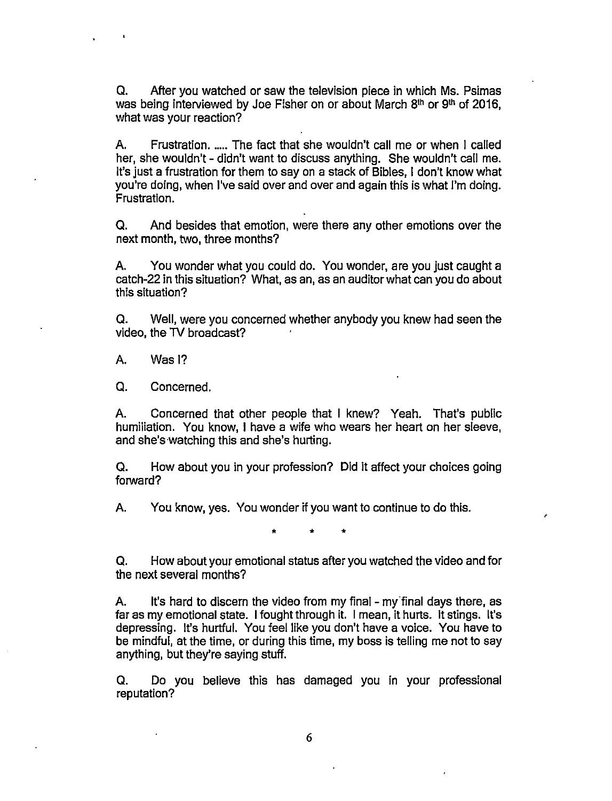Q. After you watched or saw the television piece in which Ms. Psimas was being interviewed by Joe Fisher on or about March 8<sup>th</sup> or 9<sup>th</sup> of 2016, what was your reaction?

A. Frustration. ..... The fact that she wouldn't call me or when I called her, she wouldn't - didn't want to discuss anything. She wouldn't call me. It's just a frustration for them to say on a stack of Bibles, I don't know what you're doing, when I've said over and over and again this is what I'm doing. Frustration.

Q. And besides that emotion, were there any other emotions over the next month, two, three months?

A. You wonder what you could do. You wonder, are you just caught a catch-22 in this situation? What, as an, as an auditor what can you do about this situation?

Q. Well, were you concerned whether anybody you knew had seen the video, the 1V broadcast?

A. Was I?

Q. Concerned.

A. Concerned that other people that I knew? Yeah. That's public humiliation. You know, I have a wife who wears her heart on her sleeve, and she's watching this and she's hurting.

Q. How about you in your profession? Did it affect your choices going forward?

A. You know, yes. You wonder if you want to continue to do this.

• • •

Q. How about your emotional status after you watched the video and for the next several months?

A. It's hard to discern the video from my final - my final days there, as far as my emotional state. I fought through it. I mean, it hurts. It stings. It's depressing. It's hurtful. You feel like you don't have a voice. You have to be mindful, at the time, or during this time, my boss is telling me not to say anything, but they're saying stuff.

Q. Do you believe this has damaged you in your professional reputation?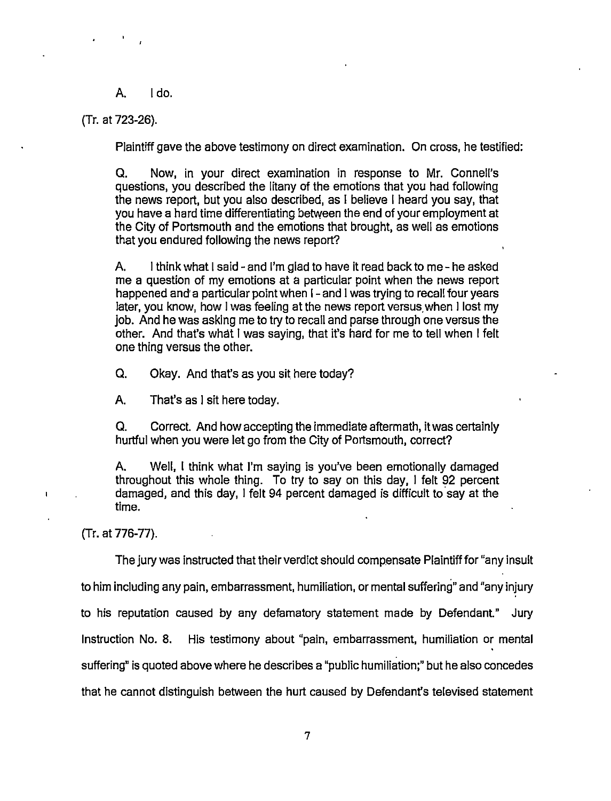A. Ida.

(Tr. at 723-26).

Plaintiff gave the above testimony on direct examination. On cross, he testified:

a. Now, in your direct examination in response to Mr. Connell's questions, you described the litany of the emotions that you had following the news report, but you also described, as I believe I heard you say, that you have a hard time differentiating between the end of your employment at the City of Portsmouth and the emotions that brought, as well as emotions that you endured following the news report?

A. I think what I said- and I'm glad to have it read back to me- he asked me a question of my emotions at a particular point when the news report happened and a particular point when I-and I was trying to recall four years later, you know, how I was feeling at the news report versus when I lost my job. And he was asking me to try to recall and parse through one versus the other. And that's what I was saying, that it's hard for me to tell when I felt one thing versus the other.

Q. Okay. And that's as you sit here today?

A. That's as I sit here today.

a. Correct. And how accepting the immediate aftermath, it was certainly hurtful when you were let go from the City of Portsmouth, correct?

A. Well, I think what I'm saying is you've been emotionally damaged throughout this whole thing. To try to say on this day, I felt 92 percent damaged, and this day, I felt 94 percent damaged is difficult to.say at the time.

(Tr. at 776-77).

The jury was instructed that their verdict should compensate Plaintiff for "any insult to him including any pain, embarrassment, humiliation, or mental suffering" and "any injury to his reputation caused by any defamatory statement made by Defendant." Jury Instruction No. 8. His testimony about "pain, embarrassment, humiliation or mental suffering" is quoted above where he describes a "public humiliation;" but he also concedes that he cannot distinguish between the hurt caused by Defendant's televised statement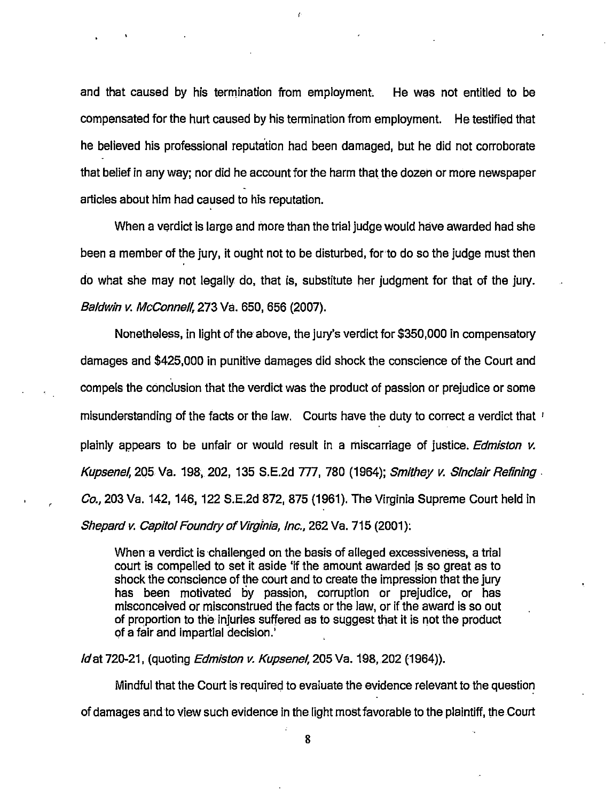and that caused by his termination from employment. He was not entitled to be compensated for the hurt caused by his termination from employment. He testified that he believed his professional reputation had been damaged, but he did not corroborate that belief in any way; nor did he account for the harm that the dozen or more newspaper articles about him had caused to his reputation.

When a verdict is large and more than the trial judge would have awarded had she been a member of the jury, it ought not to be disturbed, for·to do so the judge must then do what she may not legally do, that is, substitute her judgment for that of the jury. Baldwin v. McConnell, 273 Va. 650, 656 (2007).

Nonetheless, in light of the above, the jury's verdict for \$350,000 in compensatory damages and \$425,000 in punitive damages did shock the conscience of the Court and compels the conclusion that the verdict was the product of passion or prejudice or some misunderstanding of the facts or the law. Courts have the duty to correct a verdict that 1 plainly appears to be unfair or would result in a miscarriage of justice. Edmiston *v.*  Kupsenel, 205 Va. 198, 202, 135 S.E.2d 777, 780 (1964); Smithey *v.* Sinclair Refining. *Co.,* 203 Va. 142, 146, 122 S.E.2d 872, 875 (1961). The Virginia Supreme Court held in Shepard *v.* Capitol Foundry of Virginia, Inc., 262 Va. 715 (2001):

When a verdict is challenged on the basis of alleged excessiveness, a trial court is compelled to set it aside 'if the amount awarded js so great as to shock the conscience of the court and to create the impression that the jury has been motivated by passion, corruption or prejudice, or has misconceived or misconstrued the facts or the law, or if the award is so out of proportion to the. injuries suffered as to suggest that it is not the product of a fair and impartial decision.'

*ld* at 720-21, (quoting *Edmiston v. Kupsenel*, 205 Va. 198, 202 (1964)).

Mindful that the Court is required to evaluate the evidence relevant to the question of damages and.to view such evidence in the. light most favorable to the plaintiff, the Court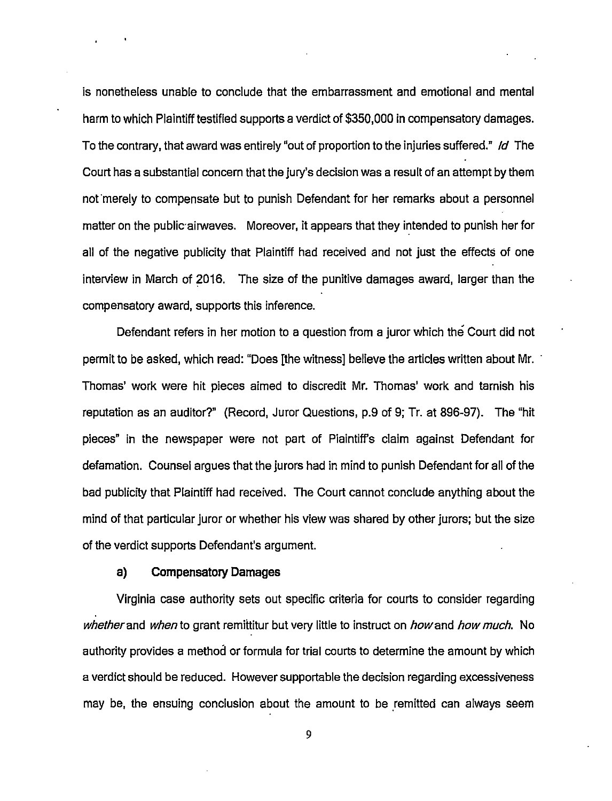is nonetheless unable to conclude that the embarrassment and emotional and mental harm to which Plaintiff testified supports a verdict of \$350,000 in compensatory damages. To the contrary, that award was entirely "out of proportion to the injuries suffered." */d* The Court has a substantial concern that the jury's decision was a result of an attempt by them not merely to compensate but to punish Defendant for her remarks about a personnel matter on the public· airwaves. Moreover, it appears that they intended to punish her for all of the negative publicity that Plaintiff had received and not just the effects of one interview in March of 2016. The size of the punitive damages award, larger than the compensatory award, supports this inference.

Defendant refers in her motion to a question from a juror which the Court did not permit to be asked, which read: "Does [the witness] believe the articles written about Mr. · Thomas' work were hit pieces aimed to discredit Mr. Thomas' work and tarnish his reputation as an auditor?" (Record, Juror Questions, p.9 of 9; Tr. at 896-97). The "hit pieces" in the newspaper were not part of Plaintiff's claim against Defendant for defamation. Counsel argues that the jurors had in mind to punish Defendant for all of the bad publicity that Plaintiff had received. The Court cannot conclude anything about the mind of that particular juror or whether his view was shared by other jurors; but the size of the verdict supports Defendant's argument.

### **a) Compensatory Damages**

Virginia case authority sets out specific criteria for courts to consider regarding whether and when to grant remittitur but very little to instruct on how and how much. No authority provides a method or formula for trial courts to determine the amount by which a verdict should be reduced. However supportable the decision regarding excessiveness may be, the ensuing conclusion about the amount to be remitted can always seem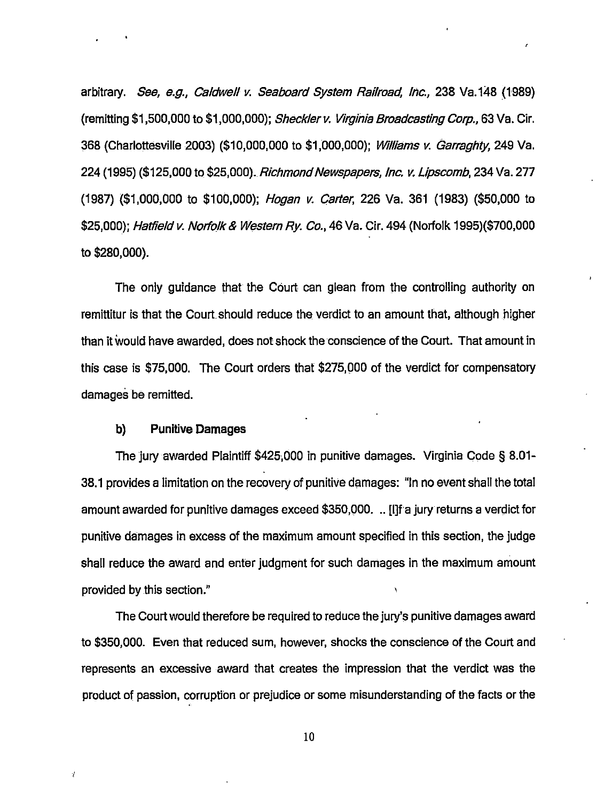arbitrary. See, e.g., Caldwell *v.* Seaboard System Railroad, Inc., 238 Va.148 (1989) (remitting \$1,500,000 to \$1 ,000,000); Sheckler v. Virginia Broadcasting Corp., 63 Va. Cir. 368 (Charlottesville 2003) (\$10,000,000 to \$1,000,000); Williams *v.* Garraghty, 249 Va. 224 (1995) (\$125,000 to \$25,000). Richmond Newspapers, Inc. *v.* Lipscomb, 234 Va. 277 (1987) (\$1,000,000 to \$100,000); Hogan *v.* Carter, 226 Va. 361 (1983) (\$50,000 to \$25,000); Hatfield v. Norfolk & Western Rv. Co., 46 Va. Cir. 494 (Norfolk 1995)(\$700,000 to \$280,000).

The only guidance that the Court can glean from the controlling authority on remittitur is that the Court should reduce the verdict to an amount that, although higher than it would have awarded, does not shock the conscience of the Court. That amount in this case is \$75,000. The Court orders that \$275,000 of the verdict for compensatory damages be remitted.

#### **b) Punitive Damages**

The jury awarded Plaintiff \$425,000 in punitive damages. Virginia Code§ 8.01- 38.1 provides a limitation on the recovery of punitive damages: "In no event shall the total amount awarded for punitive damages exceed \$350,000. .. [I] fa jury returns a verdict for punitive damages in excess of the maximum amount specified in this section, the judge shall reduce the award and enter judgment for such damages in the maximum amount provided by this section."

The Court would therefore be required to reduce the jury's punitive damages award to \$350,000. Even that reduced sum, however, shocks the conscience of the Court and represents an excessive award that creates the impression that the verdict was the product of passion, corruption or prejudice or some misunderstanding of the facts or the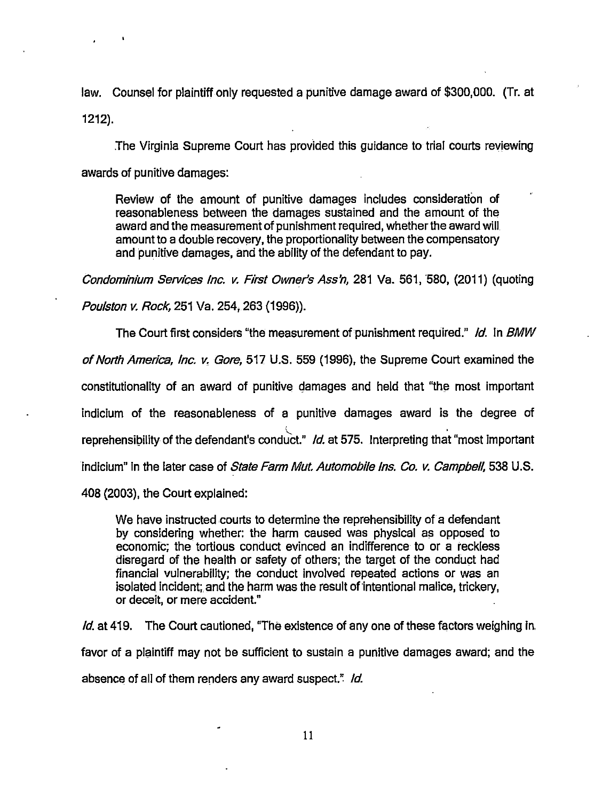law. Counsel for plaintiff only requested a punitive damage award of \$300,000. (Tr. at 1212).

The Virginia Supreme Court has provided this guidance to trial courts reviewing awards of punitive damages:

Review of the amount of punitive damages includes consideration of reasonableness between the damages sustained and the amount of the award and the measurement of punishment required, whether the award will amount to a double recovery, the proportionality between the compensatory and punitive damages, and the ability of the defendant to pay.

Condominium Services Inc. v. First Owner's Ass'n, 281 Va. 561, 580, (2011) (quoting Poulston v. Rock, 251 Va. 254, 263 (1996)).

The Court first considers "the measurement of punishment required." *Id.* In BMW of North America, Inc. v. Gore, 517 U.S. 559 (1996), the Supreme Court examined the constitutionality of an award of punitive damages and held that "the most important" indicium of the reasonableness of a punitive damages award is the degree of l <sub>'</sub> reprehensibility of the defendant's conduct." */d.* at 575. Interpreting that "most important indicium" in the later case of State Farm Mut. Automobile Ins. Co. *v.* Campbell, 538 U.S. 408 (2003), the Court explained:

We have instructed courts to determine the reprehensibility of a defendant by considering whether: the harm caused was physical as opposed to economic; the tortious conduct evinced an indifference to or a reckless disregard of the health or safety of others; the target of the conduct had financial vulnerability; the conduct involved repeated actions or was an isolated incident; and the harm was the result of'intentional malice, trickery, or deceit, or mere accident."

*Id.* at 419. The Court cautioned, "The existence of any one of these factors weighing in. favor of a plaintiff may not be sufficient to sustain a punitive damages award; and the absence of all of them renders any award suspect." *ld.*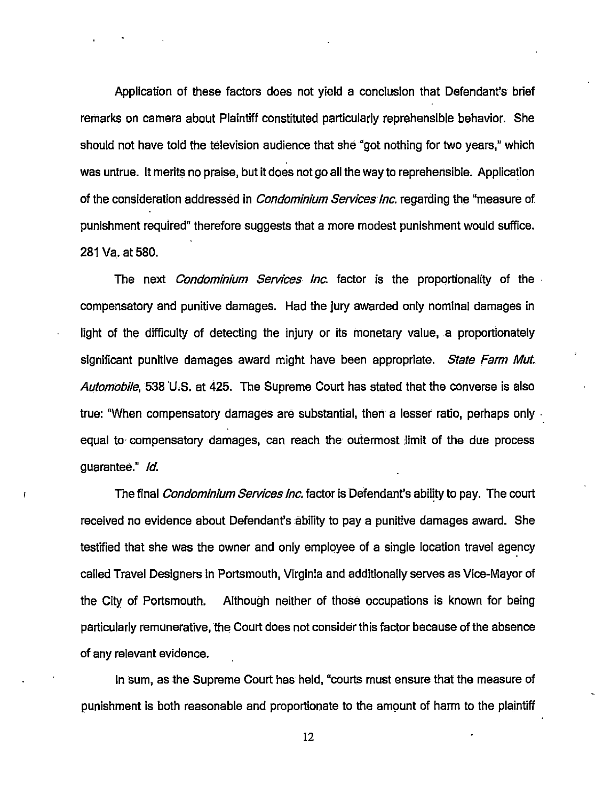Application of these factors does not yield a conclusion that Defendant's brief remarks on camera about Plaintiff constituted particularly reprehensible behavior. She should not have told the television audience that she "got nothing for two years," which was untrue. It merits no praise, but it does not go all the way to reprehensible. Application of the consideration addressed in *Condominium Services Inc.* regarding the "measure of punishment required" therefore suggests that a more modest punishment would suffice. 281 Va. at 580.

The next *Condominium Services Inc.* factor is the proportionality of the compensatory and punitive damages. Had the jury awarded only nominal damages in light of the difficulty of detecting the injury or its monetary value, a proportionately significant punitive damages award might have been appropriate. State Farm Mut. Automobile, 538 U.S. at 425. The Supreme Court has stated that the converse is also true: "When compensatory damages are substantial, then a lesser ratio, perhaps only equal to- compensatory damages, can reach the outermost :limit of the due process guarantee." */d.* 

The final *Condominium Services Inc.* factor is Defendant's ability to pay. The court received no evidence about Defendant's ability to pay a punitive damages award. She testified that she was the owner and only employee of a single location travel agency called Travel Designers in Portsmouth, Virginia and additionally serves as Vice-Mayor of the City of Portsmouth. Although neither of those occupations is known for being particularly remunerative, the Court does not consider this factor because of the absence of any relevant evidence.

In sum, as the Supreme Court has held, "courts must ensure that the measure of punishment is both reasonable and proportionate to the amount of harm to the plaintiff